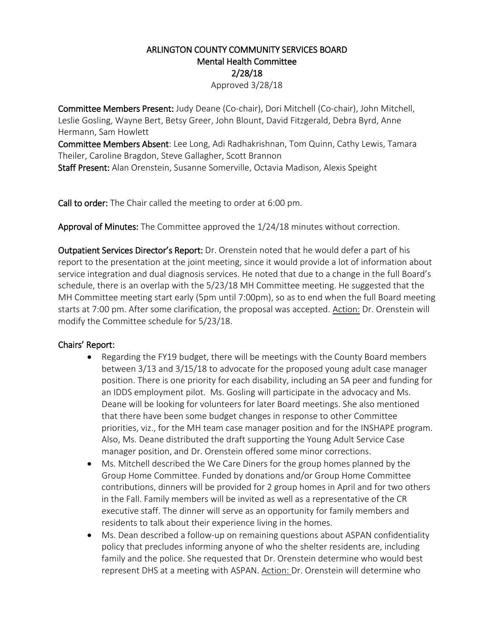## ARLINGTON COUNTY COMMUNITY SERVICES BOARD Mental Health Committee 2/28/18

Approved 3/28/18

Committee Members Present: Judy Deane (Co-chair), Dori Mitchell (Co-chair), John Mitchell, Leslie Gosling, Wayne Bert, Betsy Greer, John Blount, David Fitzgerald, Debra Byrd, Anne Hermann, Sam Howlett

Committee Members Absent: Lee Long, Adi Radhakrishnan, Tom Quinn, Cathy Lewis, Tamara Theiler, Caroline Bragdon, Steve Gallagher, Scott Brannon

Staff Present: Alan Orenstein, Susanne Somerville, Octavia Madison, Alexis Speight

Call to order: The Chair called the meeting to order at 6:00 pm.

Approval of Minutes: The Committee approved the 1/24/18 minutes without correction.

Outpatient Services Director's Report: Dr. Orenstein noted that he would defer a part of his report to the presentation at the joint meeting, since it would provide a lot of information about service integration and dual diagnosis services. He noted that due to a change in the full Board's schedule, there is an overlap with the 5/23/18 MH Committee meeting. He suggested that the MH Committee meeting start early (5pm until 7:00pm), so as to end when the full Board meeting starts at 7:00 pm. After some clarification, the proposal was accepted. Action: Dr. Orenstein will modify the Committee schedule for 5/23/18.

## Chairs' Report:

- Regarding the FY19 budget, there will be meetings with the County Board members between 3/13 and 3/15/18 to advocate for the proposed young adult case manager position. There is one priority for each disability, including an SA peer and funding for an IDDS employment pilot. Ms. Gosling will participate in the advocacy and Ms. Deane will be looking for volunteers for later Board meetings. She also mentioned that there have been some budget changes in response to other Committee priorities, viz., for the MH team case manager position and for the INSHAPE program. Also, Ms. Deane distributed the draft supporting the Young Adult Service Case manager position, and Dr. Orenstein offered some minor corrections.
- Ms. Mitchell described the We Care Diners for the group homes planned by the Group Home Committee. Funded by donations and/or Group Home Committee contributions, dinners will be provided for 2 group homes in April and for two others in the Fall. Family members will be invited as well as a representative of the CR executive staff. The dinner will serve as an opportunity for family members and residents to talk about their experience living in the homes.
- Ms. Dean described a follow-up on remaining questions about ASPAN confidentiality policy that precludes informing anyone of who the shelter residents are, including family and the police. She requested that Dr. Orenstein determine who would best represent DHS at a meeting with ASPAN. Action: Dr. Orenstein will determine who